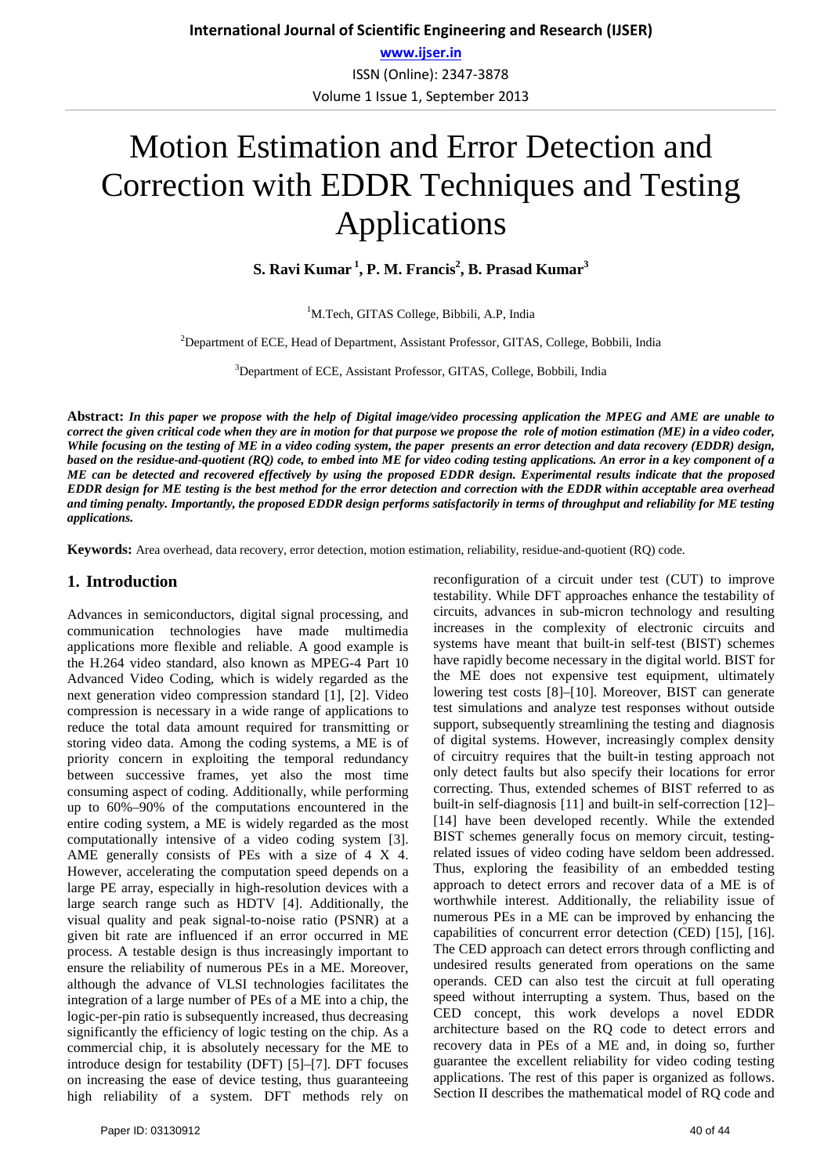# Motion Estimation and Error Detection and Correction with EDDR Techniques and Testing Applications

**S. Ravi Kumar<sup>1</sup>, P. M. Francis<sup>2</sup>, B. Prasad Kumar<sup>3</sup>** 

<sup>1</sup>M.Tech, GITAS College, Bibbili, A.P, India

<sup>2</sup>Department of ECE, Head of Department, Assistant Professor, GITAS, College, Bobbili, India

3 Department of ECE, Assistant Professor, GITAS, College, Bobbili, India

**Abstract:** *In this paper we propose with the help of Digital image/video processing application the MPEG and AME are unable to correct the given critical code when they are in motion for that purpose we propose the role of motion estimation (ME) in a video coder, While focusing on the testing of ME in a video coding system, the paper presents an error detection and data recovery (EDDR) design, based on the residue-and-quotient (RQ) code, to embed into ME for video coding testing applications. An error in a key component of a ME can be detected and recovered effectively by using the proposed EDDR design. Experimental results indicate that the proposed EDDR design for ME testing is the best method for the error detection and correction with the EDDR within acceptable area overhead and timing penalty. Importantly, the proposed EDDR design performs satisfactorily in terms of throughput and reliability for ME testing applications.*

**Keywords:** Area overhead, data recovery, error detection, motion estimation, reliability, residue-and-quotient (RQ) code.

## **1. Introduction**

Advances in semiconductors, digital signal processing, and communication technologies have made multimedia applications more flexible and reliable. A good example is the H.264 video standard, also known as MPEG-4 Part 10 Advanced Video Coding, which is widely regarded as the next generation video compression standard [1], [2]. Video compression is necessary in a wide range of applications to reduce the total data amount required for transmitting or storing video data. Among the coding systems, a ME is of priority concern in exploiting the temporal redundancy between successive frames, yet also the most time consuming aspect of coding. Additionally, while performing up to 60%–90% of the computations encountered in the entire coding system, a ME is widely regarded as the most computationally intensive of a video coding system [3]. AME generally consists of PEs with a size of 4 X 4. However, accelerating the computation speed depends on a large PE array, especially in high-resolution devices with a large search range such as HDTV [4]. Additionally, the visual quality and peak signal-to-noise ratio (PSNR) at a given bit rate are influenced if an error occurred in ME process. A testable design is thus increasingly important to ensure the reliability of numerous PEs in a ME. Moreover, although the advance of VLSI technologies facilitates the integration of a large number of PEs of a ME into a chip, the logic-per-pin ratio is subsequently increased, thus decreasing significantly the efficiency of logic testing on the chip. As a commercial chip, it is absolutely necessary for the ME to introduce design for testability (DFT) [5]–[7]. DFT focuses on increasing the ease of device testing, thus guaranteeing high reliability of a system. DFT methods rely on reconfiguration of a circuit under test (CUT) to improve testability. While DFT approaches enhance the testability of circuits, advances in sub-micron technology and resulting increases in the complexity of electronic circuits and systems have meant that built-in self-test (BIST) schemes have rapidly become necessary in the digital world. BIST for the ME does not expensive test equipment, ultimately lowering test costs [8]–[10]. Moreover, BIST can generate test simulations and analyze test responses without outside support, subsequently streamlining the testing and diagnosis of digital systems. However, increasingly complex density of circuitry requires that the built-in testing approach not only detect faults but also specify their locations for error correcting. Thus, extended schemes of BIST referred to as built-in self-diagnosis [11] and built-in self-correction [12]– [14] have been developed recently. While the extended BIST schemes generally focus on memory circuit, testingrelated issues of video coding have seldom been addressed. Thus, exploring the feasibility of an embedded testing approach to detect errors and recover data of a ME is of worthwhile interest. Additionally, the reliability issue of numerous PEs in a ME can be improved by enhancing the capabilities of concurrent error detection (CED) [15], [16]. The CED approach can detect errors through conflicting and undesired results generated from operations on the same operands. CED can also test the circuit at full operating speed without interrupting a system. Thus, based on the CED concept, this work develops a novel EDDR architecture based on the RQ code to detect errors and recovery data in PEs of a ME and, in doing so, further guarantee the excellent reliability for video coding testing applications. The rest of this paper is organized as follows. Section II describes the mathematical model of RO code and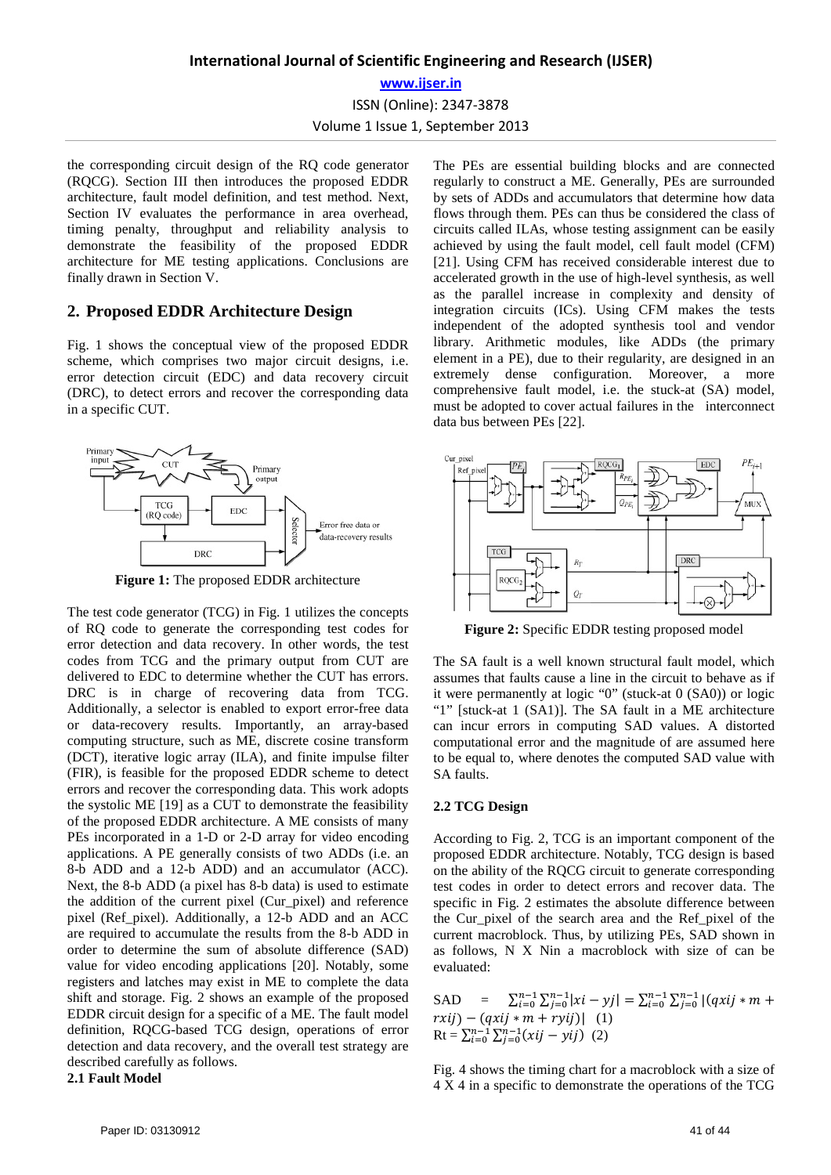ISSN (Online): 2347-3878 Volume 1 Issue 1, September 2013

the corresponding circuit design of the RQ code generator (RQCG). Section III then introduces the proposed EDDR architecture, fault model definition, and test method. Next, Section IV evaluates the performance in area overhead, timing penalty, throughput and reliability analysis to demonstrate the feasibility of the proposed EDDR architecture for ME testing applications. Conclusions are finally drawn in Section V.

## **2. Proposed EDDR Architecture Design**

Fig. 1 shows the conceptual view of the proposed EDDR scheme, which comprises two major circuit designs, i.e. error detection circuit (EDC) and data recovery circuit (DRC), to detect errors and recover the corresponding data in a specific CUT.



**Figure 1:** The proposed EDDR architecture

The test code generator (TCG) in Fig. 1 utilizes the concepts of RQ code to generate the corresponding test codes for error detection and data recovery. In other words, the test codes from TCG and the primary output from CUT are delivered to EDC to determine whether the CUT has errors. DRC is in charge of recovering data from TCG. Additionally, a selector is enabled to export error-free data or data-recovery results. Importantly, an array-based computing structure, such as ME, discrete cosine transform (DCT), iterative logic array (ILA), and finite impulse filter (FIR), is feasible for the proposed EDDR scheme to detect errors and recover the corresponding data. This work adopts the systolic ME [19] as a CUT to demonstrate the feasibility of the proposed EDDR architecture. A ME consists of many PEs incorporated in a 1-D or 2-D array for video encoding applications. A PE generally consists of two ADDs (i.e. an 8-b ADD and a 12-b ADD) and an accumulator (ACC). Next, the 8-b ADD (a pixel has 8-b data) is used to estimate the addition of the current pixel (Cur\_pixel) and reference pixel (Ref\_pixel). Additionally, a 12-b ADD and an ACC are required to accumulate the results from the 8-b ADD in order to determine the sum of absolute difference (SAD) value for video encoding applications [20]. Notably, some registers and latches may exist in ME to complete the data shift and storage. Fig. 2 shows an example of the proposed EDDR circuit design for a specific of a ME. The fault model definition, RQCG-based TCG design, operations of error detection and data recovery, and the overall test strategy are described carefully as follows.

## **2.1 Fault Model**

The PEs are essential building blocks and are connected regularly to construct a ME. Generally, PEs are surrounded by sets of ADDs and accumulators that determine how data flows through them. PEs can thus be considered the class of circuits called ILAs, whose testing assignment can be easily achieved by using the fault model, cell fault model (CFM) [21]. Using CFM has received considerable interest due to accelerated growth in the use of high-level synthesis, as well as the parallel increase in complexity and density of integration circuits (ICs). Using CFM makes the tests independent of the adopted synthesis tool and vendor library. Arithmetic modules, like ADDs (the primary element in a PE), due to their regularity, are designed in an extremely dense configuration. Moreover, a more comprehensive fault model, i.e. the stuck-at (SA) model, must be adopted to cover actual failures in the interconnect data bus between PEs [22].



**Figure 2:** Specific EDDR testing proposed model

The SA fault is a well known structural fault model, which assumes that faults cause a line in the circuit to behave as if it were permanently at logic "0" (stuck-at 0 (SA0)) or logic "1" [stuck-at 1 (SA1)]. The SA fault in a ME architecture can incur errors in computing SAD values. A distorted computational error and the magnitude of are assumed here to be equal to, where denotes the computed SAD value with SA faults.

## **2.2 TCG Design**

According to Fig. 2, TCG is an important component of the proposed EDDR architecture. Notably, TCG design is based on the ability of the RQCG circuit to generate corresponding test codes in order to detect errors and recover data. The specific in Fig. 2 estimates the absolute difference between the Cur\_pixel of the search area and the Ref\_pixel of the current macroblock. Thus, by utilizing PEs, SAD shown in as follows, N X Nin a macroblock with size of can be evaluated:

SAD =  $\sum_{i=0}^{n-1} \sum_{j=0}^{n-1} |xi - yj| = \sum_{i=0}^{n-1} \sum_{j=0}^{n-1} |(qxij * m + yj) - yj|$  $rxij$ ) –  $(qxij * m + ryij)$ | (1)  $Rt = \sum_{i=0}^{n-1} \sum_{j=0}^{n-1} (xij - yi)$  (2)

Fig. 4 shows the timing chart for a macroblock with a size of 4 X 4 in a specific to demonstrate the operations of the TCG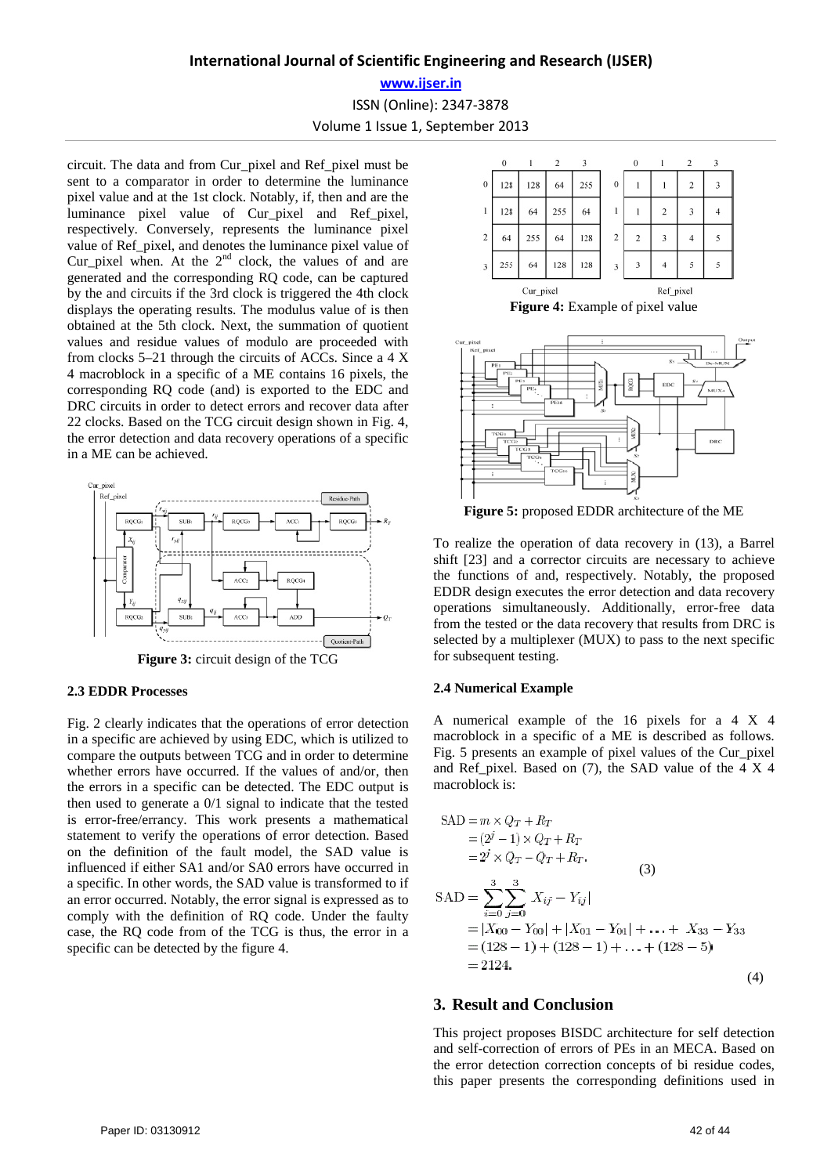# **International Journal of Scientific Engineering and Research (IJSER)**

**www.ijser.in**

ISSN (Online): 2347-3878

Volume 1 Issue 1, September 2013

circuit. The data and from Cur\_pixel and Ref\_pixel must be sent to a comparator in order to determine the luminance pixel value and at the 1st clock. Notably, if, then and are the luminance pixel value of Cur\_pixel and Ref\_pixel, respectively. Conversely, represents the luminance pixel value of Ref\_pixel, and denotes the luminance pixel value of Cur pixel when. At the  $2^{nd}$  clock, the values of and are generated and the corresponding RQ code, can be captured by the and circuits if the 3rd clock is triggered the 4th clock displays the operating results. The modulus value of is then obtained at the 5th clock. Next, the summation of quotient values and residue values of modulo are proceeded with from clocks 5–21 through the circuits of ACCs. Since a 4 X 4 macroblock in a specific of a ME contains 16 pixels, the corresponding RQ code (and) is exported to the EDC and DRC circuits in order to detect errors and recover data after 22 clocks. Based on the TCG circuit design shown in Fig. 4, the error detection and data recovery operations of a specific in a ME can be achieved.





#### **2.3 EDDR Processes**

Fig. 2 clearly indicates that the operations of error detection in a specific are achieved by using EDC, which is utilized to compare the outputs between TCG and in order to determine whether errors have occurred. If the values of and/or, then the errors in a specific can be detected. The EDC output is then used to generate a 0/1 signal to indicate that the tested is error-free/errancy. This work presents a mathematical statement to verify the operations of error detection. Based on the definition of the fault model, the SAD value is influenced if either SA1 and/or SA0 errors have occurred in a specific. In other words, the SAD value is transformed to if an error occurred. Notably, the error signal is expressed as to comply with the definition of RQ code. Under the faulty case, the RQ code from of the TCG is thus, the error in a specific can be detected by the figure 4.



**Figure 4:** Example of pixel value



**Figure 5:** proposed EDDR architecture of the ME

To realize the operation of data recovery in (13), a Barrel shift [23] and a corrector circuits are necessary to achieve the functions of and, respectively. Notably, the proposed EDDR design executes the error detection and data recovery operations simultaneously. Additionally, error-free data from the tested or the data recovery that results from DRC is selected by a multiplexer (MUX) to pass to the next specific for subsequent testing.

#### **2.4 Numerical Example**

A numerical example of the 16 pixels for a 4 X 4 macroblock in a specific of a ME is described as follows. Fig. 5 presents an example of pixel values of the Cur\_pixel and Ref pixel. Based on  $(7)$ , the SAD value of the 4 X 4 macroblock is:

$$
SAD = m \times Q_T + R_T
$$
  
\n
$$
= (2^{j} - 1) \times Q_T + R_T
$$
  
\n
$$
= 2^{j} \times Q_T - Q_T + R_T.
$$
  
\n
$$
SAD = \sum_{i=0}^{3} \sum_{j=0}^{3} X_{ij} - Y_{ij}|
$$
  
\n
$$
= |X_{00} - Y_{00}| + |X_{01} - Y_{01}| + \dots + X_{33} - Y_{33}
$$
  
\n
$$
= (128 - 1) + (128 - 1) + \dots + (128 - 5)
$$
  
\n
$$
= 2124.
$$
  
\n(4)

# **3. Result and Conclusion**

This project proposes BISDC architecture for self detection and self-correction of errors of PEs in an MECA. Based on the error detection correction concepts of bi residue codes, this paper presents the corresponding definitions used in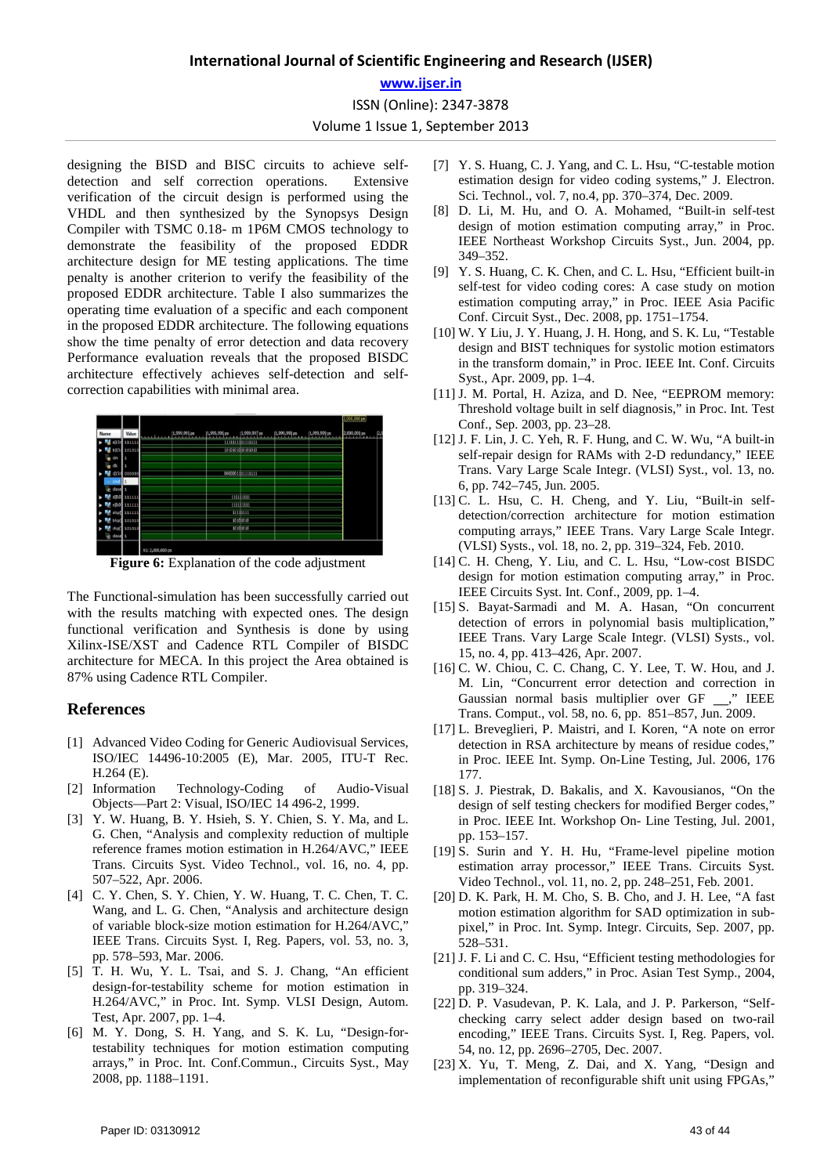## **International Journal of Scientific Engineering and Research (IJSER)**

**www.ijser.in**

ISSN (Online): 2347-3878

Volume 1 Issue 1, September 2013

designing the BISD and BISC circuits to achieve selfdetection and self correction operations. Extensive verification of the circuit design is performed using the VHDL and then synthesized by the Synopsys Design Compiler with TSMC 0.18- m 1P6M CMOS technology to demonstrate the feasibility of the proposed EDDR architecture design for ME testing applications. The time penalty is another criterion to verify the feasibility of the proposed EDDR architecture. Table I also summarizes the operating time evaluation of a specific and each component in the proposed EDDR architecture. The following equations show the time penalty of error detection and data recovery Performance evaluation reveals that the proposed BISDC architecture effectively achieves self-detection and selfcorrection capabilities with minimal area.



**Figure 6:** Explanation of the code adjustment

The Functional-simulation has been successfully carried out with the results matching with expected ones. The design functional verification and Synthesis is done by using Xilinx-ISE/XST and Cadence RTL Compiler of BISDC architecture for MECA. In this project the Area obtained is 87% using Cadence RTL Compiler.

## **References**

- [1] Advanced Video Coding for Generic Audiovisual Services, ISO/IEC 14496-10:2005 (E), Mar. 2005, ITU-T Rec. H.264 (E).
- [2] Information Technology-Coding of Audio-Visual Objects—Part 2: Visual, ISO/IEC 14 496-2, 1999.
- [3] Y. W. Huang, B. Y. Hsieh, S. Y. Chien, S. Y. Ma, and L. G. Chen, "Analysis and complexity reduction of multiple reference frames motion estimation in H.264/AVC," IEEE Trans. Circuits Syst. Video Technol., vol. 16, no. 4, pp. 507–522, Apr. 2006.
- [4] C. Y. Chen, S. Y. Chien, Y. W. Huang, T. C. Chen, T. C. Wang, and L. G. Chen, "Analysis and architecture design of variable block-size motion estimation for H.264/AVC," IEEE Trans. Circuits Syst. I, Reg. Papers, vol. 53, no. 3, pp. 578–593, Mar. 2006.
- [5] T. H. Wu, Y. L. Tsai, and S. J. Chang, "An efficient design-for-testability scheme for motion estimation in H.264/AVC," in Proc. Int. Symp. VLSI Design, Autom. Test, Apr. 2007, pp. 1–4.
- [6] M. Y. Dong, S. H. Yang, and S. K. Lu, "Design-fortestability techniques for motion estimation computing arrays," in Proc. Int. Conf.Commun., Circuits Syst., May 2008, pp. 1188–1191.
- [7] Y. S. Huang, C. J. Yang, and C. L. Hsu, "C-testable motion estimation design for video coding systems," J. Electron. Sci. Technol., vol. 7, no.4, pp. 370–374, Dec. 2009.
- [8] D. Li, M. Hu, and O. A. Mohamed, "Built-in self-test design of motion estimation computing array," in Proc. IEEE Northeast Workshop Circuits Syst., Jun. 2004, pp. 349–352.
- [9] Y. S. Huang, C. K. Chen, and C. L. Hsu, "Efficient built-in self-test for video coding cores: A case study on motion estimation computing array," in Proc. IEEE Asia Pacific Conf. Circuit Syst., Dec. 2008, pp. 1751–1754.
- [10] W. Y Liu, J. Y. Huang, J. H. Hong, and S. K. Lu, "Testable design and BIST techniques for systolic motion estimators in the transform domain," in Proc. IEEE Int. Conf. Circuits Syst., Apr. 2009, pp. 1–4.
- [11] J. M. Portal, H. Aziza, and D. Nee, "EEPROM memory: Threshold voltage built in self diagnosis," in Proc. Int. Test Conf., Sep. 2003, pp. 23–28.
- [12] J. F. Lin, J. C. Yeh, R. F. Hung, and C. W. Wu, "A built-in self-repair design for RAMs with 2-D redundancy," IEEE Trans. Vary Large Scale Integr. (VLSI) Syst., vol. 13, no. 6, pp. 742–745, Jun. 2005.
- [13] C. L. Hsu, C. H. Cheng, and Y. Liu, "Built-in selfdetection/correction architecture for motion estimation computing arrays," IEEE Trans. Vary Large Scale Integr. (VLSI) Systs., vol. 18, no. 2, pp. 319–324, Feb. 2010.
- [14] C. H. Cheng, Y. Liu, and C. L. Hsu, "Low-cost BISDC design for motion estimation computing array," in Proc. IEEE Circuits Syst. Int. Conf., 2009, pp. 1–4.
- [15] S. Bayat-Sarmadi and M. A. Hasan, "On concurrent detection of errors in polynomial basis multiplication," IEEE Trans. Vary Large Scale Integr. (VLSI) Systs., vol. 15, no. 4, pp. 413–426, Apr. 2007.
- [16] C. W. Chiou, C. C. Chang, C. Y. Lee, T. W. Hou, and J. M. Lin, "Concurrent error detection and correction in Gaussian normal basis multiplier over GF \_\_," IEEE Trans. Comput., vol. 58, no. 6, pp. 851–857, Jun. 2009.
- [17] L. Breveglieri, P. Maistri, and I. Koren, "A note on error detection in RSA architecture by means of residue codes," in Proc. IEEE Int. Symp. On-Line Testing, Jul. 2006, 176 177.
- [18] S. J. Piestrak, D. Bakalis, and X. Kavousianos, "On the design of self testing checkers for modified Berger codes," in Proc. IEEE Int. Workshop On- Line Testing, Jul. 2001, pp. 153–157.
- [19] S. Surin and Y. H. Hu, "Frame-level pipeline motion estimation array processor," IEEE Trans. Circuits Syst. Video Technol., vol. 11, no. 2, pp. 248–251, Feb. 2001.
- [20] D. K. Park, H. M. Cho, S. B. Cho, and J. H. Lee, "A fast motion estimation algorithm for SAD optimization in subpixel," in Proc. Int. Symp. Integr. Circuits, Sep. 2007, pp. 528–531.
- [21] J. F. Li and C. C. Hsu, "Efficient testing methodologies for conditional sum adders," in Proc. Asian Test Symp., 2004, pp. 319–324.
- [22] D. P. Vasudevan, P. K. Lala, and J. P. Parkerson, "Selfchecking carry select adder design based on two-rail encoding," IEEE Trans. Circuits Syst. I, Reg. Papers, vol. 54, no. 12, pp. 2696–2705, Dec. 2007.
- [23] X. Yu, T. Meng, Z. Dai, and X. Yang, "Design and implementation of reconfigurable shift unit using FPGAs,"